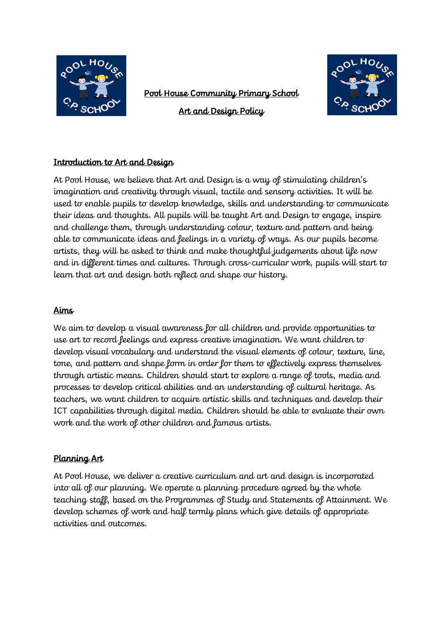

Pool House Community Primary School

Art and Design Policy



## Introduction to Art and Design

At Pool House, we believe that Art and Design is a way of stimulating children's imagination and creativity through visual, tactile and sensory activities. It will be used to enable pupils to develop knowledge, skills and understanding to communicate their ideas and thoughts. All pupils will be taught Art and Design to engage, inspire and challenge them, through understanding colour, texture and pattern and being able to communicate ideas and feelings in a variety of ways. As our pupils become artists, they will be asked to think and make thoughtful judgements about life now and in different times and cultures. Through cross-curricular work, pupils will start to learn that art and design both reflect and shape our history.

## Aims

We aim to develop a visual awareness for all children and provide opportunities to use art to record feelings and express creative imagination. We want children to develop visual vocabulary and understand the visual elements of colour, texture, line, tone, and pattern and shape form in order for them to effectively express themselves through artistic means. Children should start to explore a range of tools, media and processes to develop critical abilities and an understanding of cultural heritage. As teachers, we want children to acquire artistic skills and techniques and develop their ICT capabilities through digital media. Children should be able to evaluate their own work and the work of other children and famous artists.

### Planning Art

At Pool House, we deliver a creative curriculum and art and design is incorporated into all of our planning. We operate a planning procedure agreed by the whole teaching staff, based on the Programmes of Study and Statements of Attainment. We develop schemes of work and half termly plans which give details of appropriate activities and outcomes.